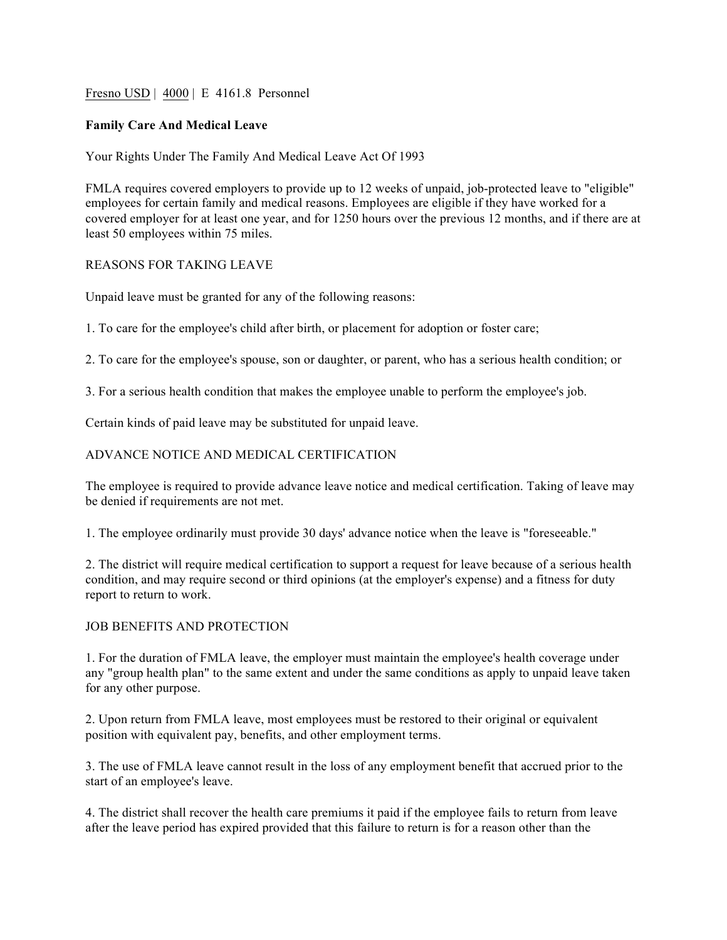Fresno USD | 4000 | E 4161.8 Personnel

# **Family Care And Medical Leave**

Your Rights Under The Family And Medical Leave Act Of 1993

FMLA requires covered employers to provide up to 12 weeks of unpaid, job-protected leave to "eligible" employees for certain family and medical reasons. Employees are eligible if they have worked for a covered employer for at least one year, and for 1250 hours over the previous 12 months, and if there are at least 50 employees within 75 miles.

# REASONS FOR TAKING LEAVE

Unpaid leave must be granted for any of the following reasons:

1. To care for the employee's child after birth, or placement for adoption or foster care;

2. To care for the employee's spouse, son or daughter, or parent, who has a serious health condition; or

3. For a serious health condition that makes the employee unable to perform the employee's job.

Certain kinds of paid leave may be substituted for unpaid leave.

# ADVANCE NOTICE AND MEDICAL CERTIFICATION

The employee is required to provide advance leave notice and medical certification. Taking of leave may be denied if requirements are not met.

1. The employee ordinarily must provide 30 days' advance notice when the leave is "foreseeable."

2. The district will require medical certification to support a request for leave because of a serious health condition, and may require second or third opinions (at the employer's expense) and a fitness for duty report to return to work.

## JOB BENEFITS AND PROTECTION

1. For the duration of FMLA leave, the employer must maintain the employee's health coverage under any "group health plan" to the same extent and under the same conditions as apply to unpaid leave taken for any other purpose.

2. Upon return from FMLA leave, most employees must be restored to their original or equivalent position with equivalent pay, benefits, and other employment terms.

3. The use of FMLA leave cannot result in the loss of any employment benefit that accrued prior to the start of an employee's leave.

4. The district shall recover the health care premiums it paid if the employee fails to return from leave after the leave period has expired provided that this failure to return is for a reason other than the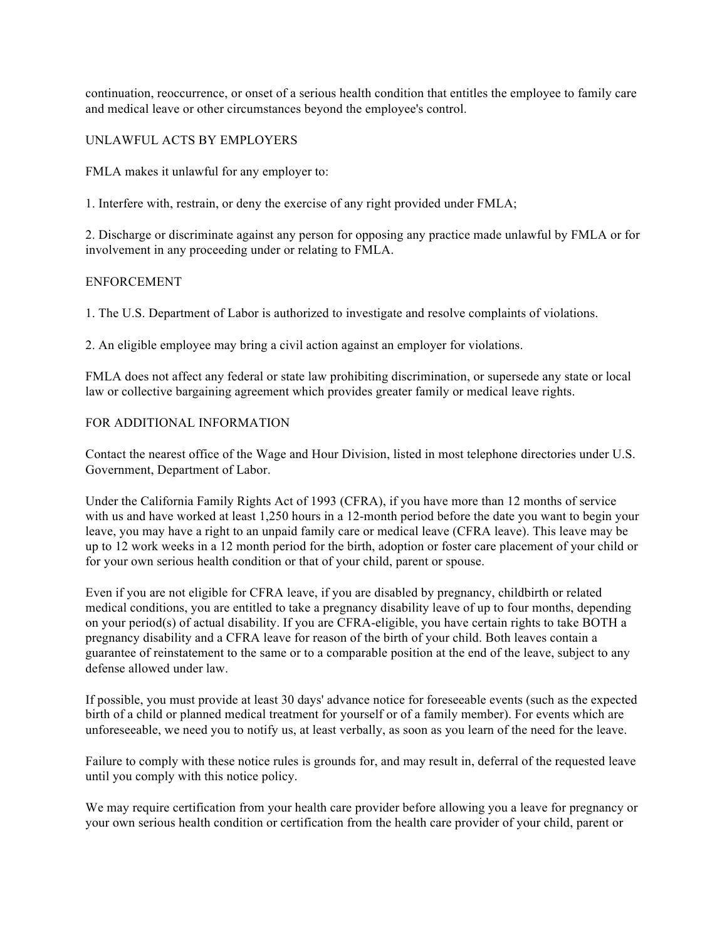continuation, reoccurrence, or onset of a serious health condition that entitles the employee to family care and medical leave or other circumstances beyond the employee's control.

# UNLAWFUL ACTS BY EMPLOYERS

FMLA makes it unlawful for any employer to:

1. Interfere with, restrain, or deny the exercise of any right provided under FMLA;

2. Discharge or discriminate against any person for opposing any practice made unlawful by FMLA or for involvement in any proceeding under or relating to FMLA.

## ENFORCEMENT

1. The U.S. Department of Labor is authorized to investigate and resolve complaints of violations.

2. An eligible employee may bring a civil action against an employer for violations.

FMLA does not affect any federal or state law prohibiting discrimination, or supersede any state or local law or collective bargaining agreement which provides greater family or medical leave rights.

## FOR ADDITIONAL INFORMATION

Contact the nearest office of the Wage and Hour Division, listed in most telephone directories under U.S. Government, Department of Labor.

Under the California Family Rights Act of 1993 (CFRA), if you have more than 12 months of service with us and have worked at least 1,250 hours in a 12-month period before the date you want to begin your leave, you may have a right to an unpaid family care or medical leave (CFRA leave). This leave may be up to 12 work weeks in a 12 month period for the birth, adoption or foster care placement of your child or for your own serious health condition or that of your child, parent or spouse.

Even if you are not eligible for CFRA leave, if you are disabled by pregnancy, childbirth or related medical conditions, you are entitled to take a pregnancy disability leave of up to four months, depending on your period(s) of actual disability. If you are CFRA-eligible, you have certain rights to take BOTH a pregnancy disability and a CFRA leave for reason of the birth of your child. Both leaves contain a guarantee of reinstatement to the same or to a comparable position at the end of the leave, subject to any defense allowed under law.

If possible, you must provide at least 30 days' advance notice for foreseeable events (such as the expected birth of a child or planned medical treatment for yourself or of a family member). For events which are unforeseeable, we need you to notify us, at least verbally, as soon as you learn of the need for the leave.

Failure to comply with these notice rules is grounds for, and may result in, deferral of the requested leave until you comply with this notice policy.

We may require certification from your health care provider before allowing you a leave for pregnancy or your own serious health condition or certification from the health care provider of your child, parent or